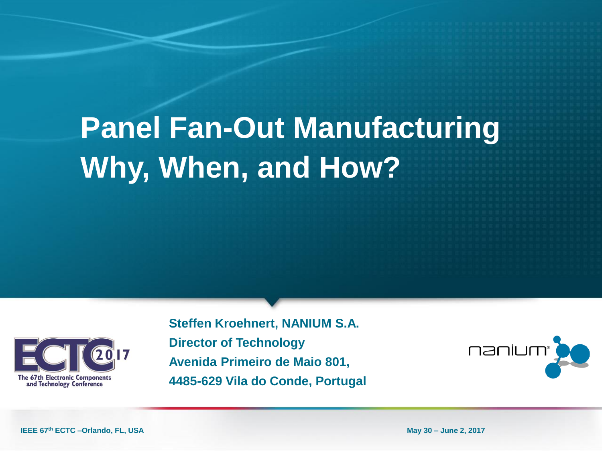# **Panel Fan-Out Manufacturing Why, When, and How?**



**Steffen Kroehnert, NANIUM S.A. Director of Technology Avenida Primeiro de Maio 801, 4485-629 Vila do Conde, Portugal**



**IEEE 67th ECTC –Orlando, FL, USA May 30 – June 2, 2017**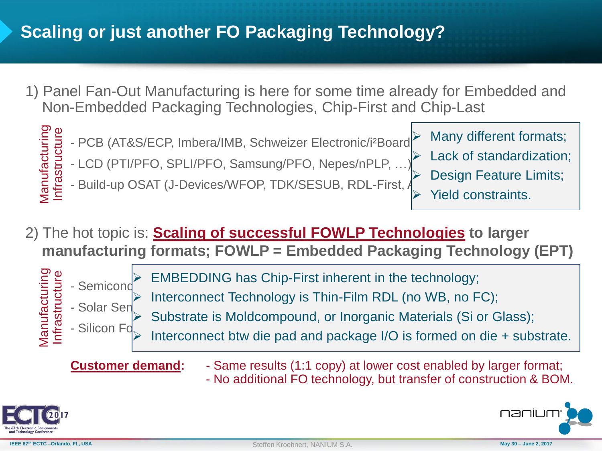# **Scaling or just another FO Packaging Technology?**

1) Panel Fan-Out Manufacturing is here for some time already for Embedded and Non-Embedded Packaging Technologies, Chip-First and Chip-Last



2) The hot topic is: **Scaling of successful FOWLP Technologies to larger manufacturing formats; FOWLP = Embedded Packaging Technology (EPT)**



- $-$  Semiconductor  $\begin{bmatrix} 1 & 0 & 0 \\ 0 & 1 & 0 \\ 0 & 0 & 0 \end{bmatrix}$  $\triangleright$  EMBEDDING has Chip-First inherent in the technology;
	- Interconnect Technology is Thin-Film RDL (no WB, no FC);
	- Substrate is Moldcompound, or Inorganic Materials (Si or Glass);
	- Interconnect btw die pad and package I/O is formed on die  $+$  substrate.

- **Customer demand:** Same results (1:1 copy) at lower cost enabled by larger format;
	- No additional FO technology, but transfer of construction & BOM.



naniu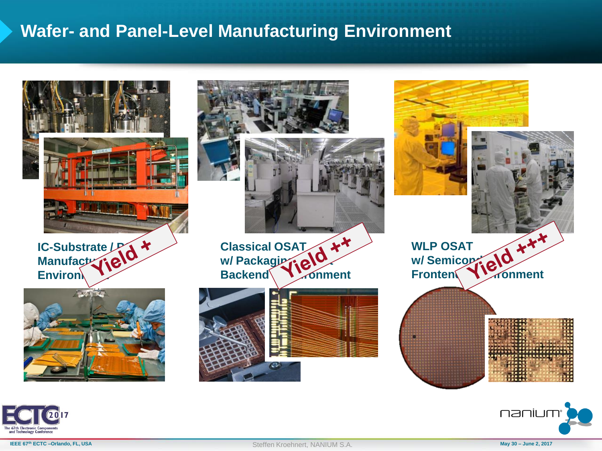## **Wafer- and Panel-Level Manufacturing Environment**





nanium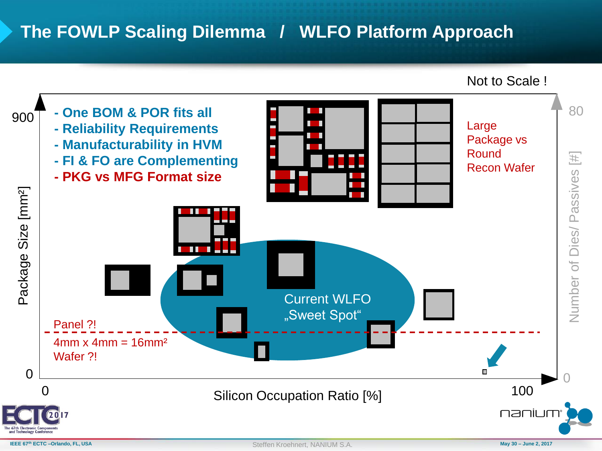# **The FOWLP Scaling Dilemma / WLFO Platform Approach**

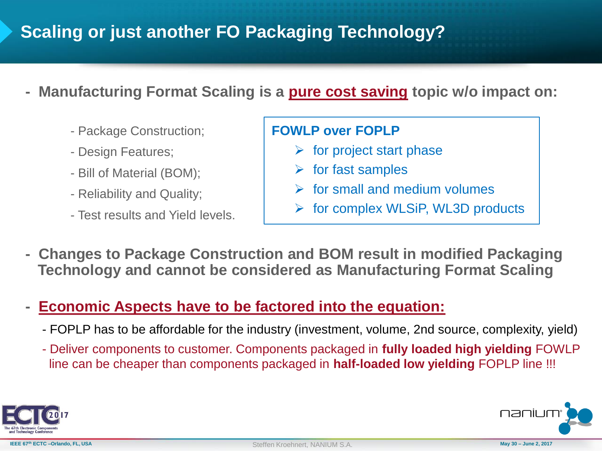# **Scaling or just another FO Packaging Technology?**

- **- Manufacturing Format Scaling is a pure cost saving topic w/o impact on:**
	- Package Construction;
	- Design Features;
	- Bill of Material (BOM);
	- Reliability and Quality;
	- Test results and Yield levels.

#### **FOWLP over FOPLP**

- $\triangleright$  for project start phase
- $\triangleright$  for fast samples
- $\triangleright$  for small and medium volumes
- $\triangleright$  for complex WLSiP, WL3D products
- **- Changes to Package Construction and BOM result in modified Packaging Technology and cannot be considered as Manufacturing Format Scaling**
- **- Economic Aspects have to be factored into the equation:**
	- FOPLP has to be affordable for the industry (investment, volume, 2nd source, complexity, yield)
	- Deliver components to customer. Components packaged in **fully loaded high yielding** FOWLP line can be cheaper than components packaged in **half-loaded low yielding** FOPLP line !!!



naniu